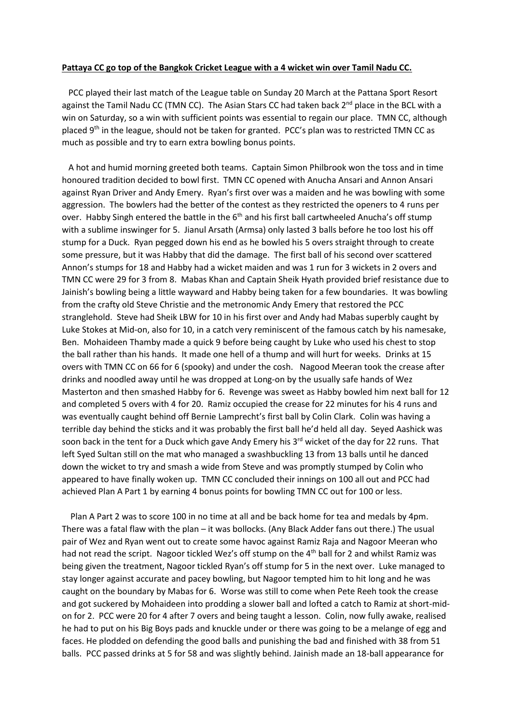## **Pattaya CC go top of the Bangkok Cricket League with a 4 wicket win over Tamil Nadu CC.**

 PCC played their last match of the League table on Sunday 20 March at the Pattana Sport Resort against the Tamil Nadu CC (TMN CC). The Asian Stars CC had taken back  $2<sup>nd</sup>$  place in the BCL with a win on Saturday, so a win with sufficient points was essential to regain our place. TMN CC, although placed 9<sup>th</sup> in the league, should not be taken for granted. PCC's plan was to restricted TMN CC as much as possible and try to earn extra bowling bonus points.

 A hot and humid morning greeted both teams. Captain Simon Philbrook won the toss and in time honoured tradition decided to bowl first. TMN CC opened with Anucha Ansari and Annon Ansari against Ryan Driver and Andy Emery. Ryan's first over was a maiden and he was bowling with some aggression. The bowlers had the better of the contest as they restricted the openers to 4 runs per over. Habby Singh entered the battle in the  $6<sup>th</sup>$  and his first ball cartwheeled Anucha's off stump with a sublime inswinger for 5. Jianul Arsath (Armsa) only lasted 3 balls before he too lost his off stump for a Duck. Ryan pegged down his end as he bowled his 5 overs straight through to create some pressure, but it was Habby that did the damage. The first ball of his second over scattered Annon's stumps for 18 and Habby had a wicket maiden and was 1 run for 3 wickets in 2 overs and TMN CC were 29 for 3 from 8. Mabas Khan and Captain Sheik Hyath provided brief resistance due to Jainish's bowling being a little wayward and Habby being taken for a few boundaries. It was bowling from the crafty old Steve Christie and the metronomic Andy Emery that restored the PCC stranglehold. Steve had Sheik LBW for 10 in his first over and Andy had Mabas superbly caught by Luke Stokes at Mid-on, also for 10, in a catch very reminiscent of the famous catch by his namesake, Ben. Mohaideen Thamby made a quick 9 before being caught by Luke who used his chest to stop the ball rather than his hands. It made one hell of a thump and will hurt for weeks. Drinks at 15 overs with TMN CC on 66 for 6 (spooky) and under the cosh. Nagood Meeran took the crease after drinks and noodled away until he was dropped at Long-on by the usually safe hands of Wez Masterton and then smashed Habby for 6. Revenge was sweet as Habby bowled him next ball for 12 and completed 5 overs with 4 for 20. Ramiz occupied the crease for 22 minutes for his 4 runs and was eventually caught behind off Bernie Lamprecht's first ball by Colin Clark. Colin was having a terrible day behind the sticks and it was probably the first ball he'd held all day. Seyed Aashick was soon back in the tent for a Duck which gave Andy Emery his  $3<sup>rd</sup>$  wicket of the day for 22 runs. That left Syed Sultan still on the mat who managed a swashbuckling 13 from 13 balls until he danced down the wicket to try and smash a wide from Steve and was promptly stumped by Colin who appeared to have finally woken up. TMN CC concluded their innings on 100 all out and PCC had achieved Plan A Part 1 by earning 4 bonus points for bowling TMN CC out for 100 or less.

 Plan A Part 2 was to score 100 in no time at all and be back home for tea and medals by 4pm. There was a fatal flaw with the plan – it was bollocks. (Any Black Adder fans out there.) The usual pair of Wez and Ryan went out to create some havoc against Ramiz Raja and Nagoor Meeran who had not read the script. Nagoor tickled Wez's off stump on the 4<sup>th</sup> ball for 2 and whilst Ramiz was being given the treatment, Nagoor tickled Ryan's off stump for 5 in the next over. Luke managed to stay longer against accurate and pacey bowling, but Nagoor tempted him to hit long and he was caught on the boundary by Mabas for 6. Worse was still to come when Pete Reeh took the crease and got suckered by Mohaideen into prodding a slower ball and lofted a catch to Ramiz at short-midon for 2. PCC were 20 for 4 after 7 overs and being taught a lesson. Colin, now fully awake, realised he had to put on his Big Boys pads and knuckle under or there was going to be a melange of egg and faces. He plodded on defending the good balls and punishing the bad and finished with 38 from 51 balls. PCC passed drinks at 5 for 58 and was slightly behind. Jainish made an 18-ball appearance for